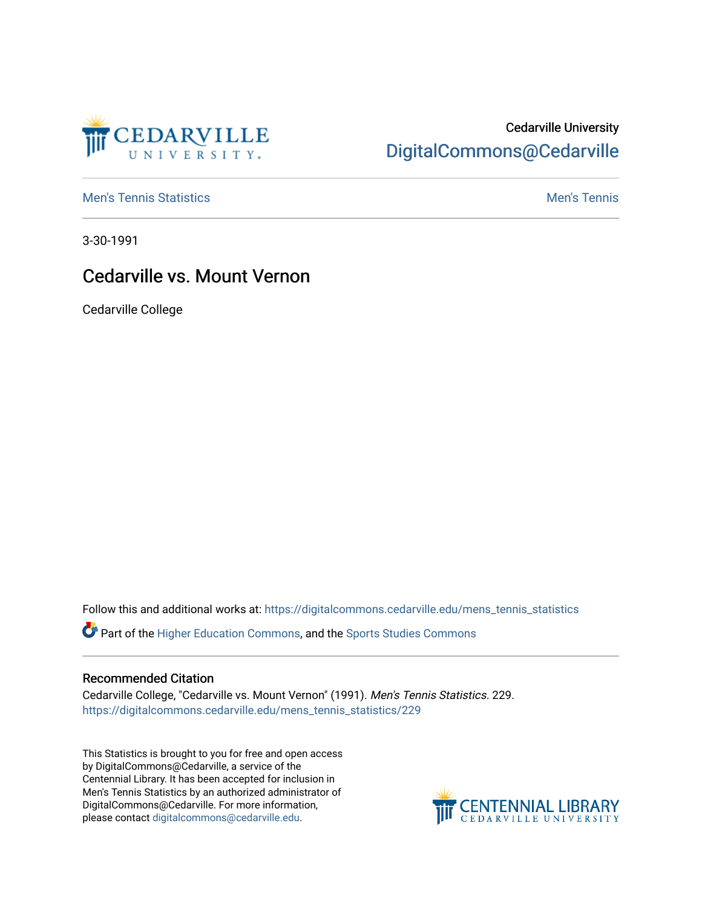

## Cedarville University [DigitalCommons@Cedarville](https://digitalcommons.cedarville.edu/)

**[Men's Tennis Statistics](https://digitalcommons.cedarville.edu/mens_tennis_statistics) Men's Tennis** Men's Tennis

3-30-1991

## Cedarville vs. Mount Vernon

Cedarville College

Follow this and additional works at: [https://digitalcommons.cedarville.edu/mens\\_tennis\\_statistics](https://digitalcommons.cedarville.edu/mens_tennis_statistics?utm_source=digitalcommons.cedarville.edu%2Fmens_tennis_statistics%2F229&utm_medium=PDF&utm_campaign=PDFCoverPages)

Part of the [Higher Education Commons,](http://network.bepress.com/hgg/discipline/1245?utm_source=digitalcommons.cedarville.edu%2Fmens_tennis_statistics%2F229&utm_medium=PDF&utm_campaign=PDFCoverPages) and the [Sports Studies Commons](http://network.bepress.com/hgg/discipline/1198?utm_source=digitalcommons.cedarville.edu%2Fmens_tennis_statistics%2F229&utm_medium=PDF&utm_campaign=PDFCoverPages) 

## Recommended Citation

Cedarville College, "Cedarville vs. Mount Vernon" (1991). Men's Tennis Statistics. 229. [https://digitalcommons.cedarville.edu/mens\\_tennis\\_statistics/229](https://digitalcommons.cedarville.edu/mens_tennis_statistics/229?utm_source=digitalcommons.cedarville.edu%2Fmens_tennis_statistics%2F229&utm_medium=PDF&utm_campaign=PDFCoverPages) 

This Statistics is brought to you for free and open access by DigitalCommons@Cedarville, a service of the Centennial Library. It has been accepted for inclusion in Men's Tennis Statistics by an authorized administrator of DigitalCommons@Cedarville. For more information, please contact [digitalcommons@cedarville.edu](mailto:digitalcommons@cedarville.edu).